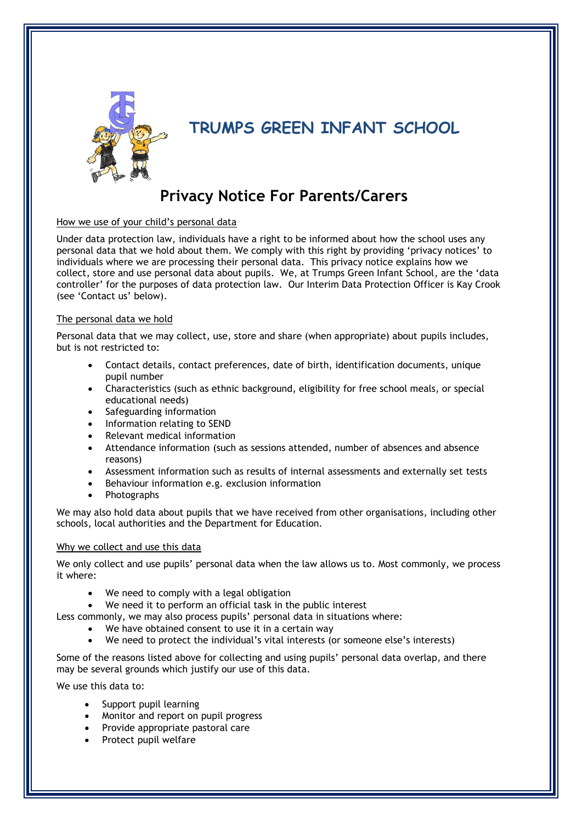

# **TRUMPS GREEN INFANT SCHOOL**

# **Privacy Notice For Parents/Carers**

## How we use of your child's personal data

Under data protection law, individuals have a right to be informed about how the school uses any personal data that we hold about them. We comply with this right by providing 'privacy notices' to individuals where we are processing their personal data. This privacy notice explains how we collect, store and use personal data about pupils. We, at Trumps Green Infant School, are the 'data controller' for the purposes of data protection law. Our Interim Data Protection Officer is Kay Crook (see 'Contact us' below).

## The personal data we hold

Personal data that we may collect, use, store and share (when appropriate) about pupils includes, but is not restricted to:

- Contact details, contact preferences, date of birth, identification documents, unique pupil number
- Characteristics (such as ethnic background, eligibility for free school meals, or special educational needs)
- Safeguarding information
- Information relating to SEND
- Relevant medical information
- Attendance information (such as sessions attended, number of absences and absence reasons)
- Assessment information such as results of internal assessments and externally set tests
- Behaviour information e.g. exclusion information
- Photographs

We may also hold data about pupils that we have received from other organisations, including other schools, local authorities and the Department for Education.

## Why we collect and use this data

We only collect and use pupils' personal data when the law allows us to. Most commonly, we process it where:

- We need to comply with a legal obligation
- We need it to perform an official task in the public interest

Less commonly, we may also process pupils' personal data in situations where:

- We have obtained consent to use it in a certain way
- We need to protect the individual's vital interests (or someone else's interests)

Some of the reasons listed above for collecting and using pupils' personal data overlap, and there may be several grounds which justify our use of this data.

We use this data to:

- Support pupil learning
- Monitor and report on pupil progress
- Provide appropriate pastoral care
- Protect pupil welfare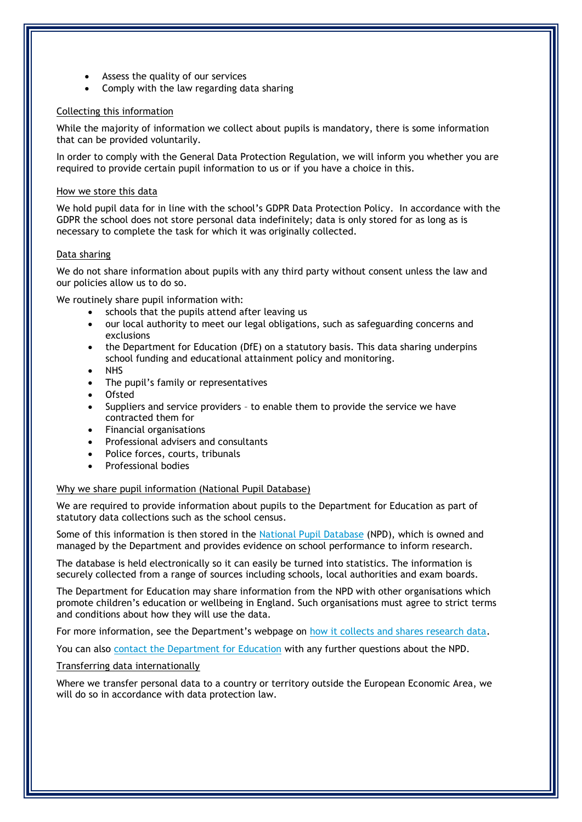- Assess the quality of our services
- Comply with the law regarding data sharing

## Collecting this information

While the majority of information we collect about pupils is mandatory, there is some information that can be provided voluntarily.

In order to comply with the General Data Protection Regulation, we will inform you whether you are required to provide certain pupil information to us or if you have a choice in this.

#### How we store this data

We hold pupil data for in line with the school's GDPR Data Protection Policy. In accordance with the GDPR the school does not store personal data indefinitely; data is only stored for as long as is necessary to complete the task for which it was originally collected.

#### Data sharing

We do not share information about pupils with any third party without consent unless the law and our policies allow us to do so.

We routinely share pupil information with:

- schools that the pupils attend after leaving us
- our local authority to meet our legal obligations, such as safeguarding concerns and exclusions
- the Department for Education (DfE) on a statutory basis. This data sharing underpins school funding and educational attainment policy and monitoring.
- NHS
- The pupil's family or representatives
- Ofsted
- Suppliers and service providers to enable them to provide the service we have contracted them for
- Financial organisations
- Professional advisers and consultants
- Police forces, courts, tribunals
- Professional bodies

## Why we share pupil information (National Pupil Database)

We are required to provide information about pupils to the Department for Education as part of statutory data collections such as the school census.

Some of this information is then stored in the [National Pupil Database](https://www.gov.uk/government/publications/national-pupil-database-user-guide-and-supporting-information) (NPD), which is owned and managed by the Department and provides evidence on school performance to inform research.

The database is held electronically so it can easily be turned into statistics. The information is securely collected from a range of sources including schools, local authorities and exam boards.

The Department for Education may share information from the NPD with other organisations which promote children's education or wellbeing in England. Such organisations must agree to strict terms and conditions about how they will use the data.

For more information, see the Department's webpage on [how it collects and shares research data.](https://www.gov.uk/data-protection-how-we-collect-and-share-research-data)

You can also [contact the Department for Education](https://www.gov.uk/contact-dfe) with any further questions about the NPD.

## Transferring data internationally

Where we transfer personal data to a country or territory outside the European Economic Area, we will do so in accordance with data protection law.